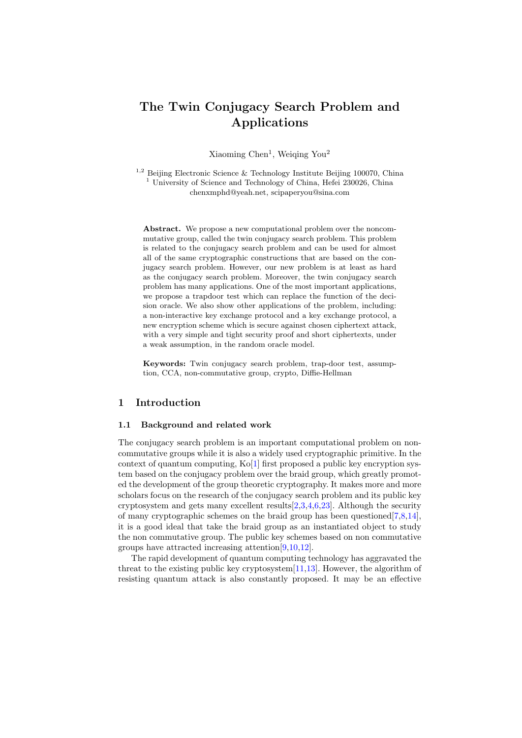# The Twin Conjugacy Search Problem and Applications

Xiaoming Chen<sup>1</sup>, Weiqing You<sup>2</sup>

<sup>1,2</sup> Beijing Electronic Science & Technology Institute Beijing 100070, China <sup>1</sup> University of Science and Technology of China, Hefei 230026, China chenxmphd@yeah.net, scipaperyou@sina.com

Abstract. We propose a new computational problem over the noncommutative group, called the twin conjugacy search problem. This problem is related to the conjugacy search problem and can be used for almost all of the same cryptographic constructions that are based on the conjugacy search problem. However, our new problem is at least as hard as the conjugacy search problem. Moreover, the twin conjugacy search problem has many applications. One of the most important applications, we propose a trapdoor test which can replace the function of the decision oracle. We also show other applications of the problem, including: a non-interactive key exchange protocol and a key exchange protocol, a new encryption scheme which is secure against chosen ciphertext attack, with a very simple and tight security proof and short ciphertexts, under a weak assumption, in the random oracle model.

Keywords: Twin conjugacy search problem, trap-door test, assumption, CCA, non-commutative group, crypto, Diffie-Hellman

## 1 Introduction

#### 1.1 Background and related work

The conjugacy search problem is an important computational problem on noncommutative groups while it is also a widely used cryptographic primitive. In the context of quantum computing, Ko[\[1\]](#page-10-0) first proposed a public key encryption system based on the conjugacy problem over the braid group, which greatly promoted the development of the group theoretic cryptography. It makes more and more scholars focus on the research of the conjugacy search problem and its public key cryptosystem and gets many excellent results[\[2](#page-11-0)[,3,](#page-11-1)[4,](#page-11-2)[6,](#page-11-3)[23\]](#page-12-0). Although the security of many cryptographic schemes on the braid group has been questioned  $[7,8,14]$  $[7,8,14]$  $[7,8,14]$ , it is a good ideal that take the braid group as an instantiated object to study the non commutative group. The public key schemes based on non commutative groups have attracted increasing attention[\[9,](#page-11-7)[10,](#page-11-8)[12\]](#page-11-9).

The rapid development of quantum computing technology has aggravated the threat to the existing public key cryptosystem[\[11,](#page-11-10)[13\]](#page-11-11). However, the algorithm of resisting quantum attack is also constantly proposed. It may be an effective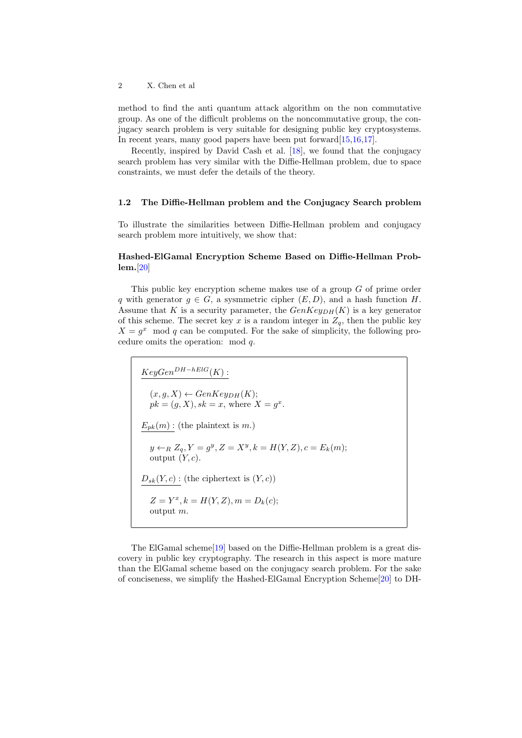method to find the anti quantum attack algorithm on the non commutative group. As one of the difficult problems on the noncommutative group, the conjugacy search problem is very suitable for designing public key cryptosystems. In recent years, many good papers have been put forward [\[15,](#page-11-12)[16,](#page-11-13)[17\]](#page-11-14).

Recently, inspired by David Cash et al. [\[18\]](#page-11-15), we found that the conjugacy search problem has very similar with the Diffie-Hellman problem, due to space constraints, we must defer the details of the theory.

## 1.2 The Diffie-Hellman problem and the Conjugacy Search problem

To illustrate the similarities between Diffie-Hellman problem and conjugacy search problem more intuitively, we show that:

## Hashed-ElGamal Encryption Scheme Based on Diffie-Hellman Problem.[\[20\]](#page-12-1)

This public key encryption scheme makes use of a group G of prime order q with generator  $q \in G$ , a sysmmetric cipher  $(E, D)$ , and a hash function H. Assume that K is a security parameter, the  $GenKey<sub>DH</sub>(K)$  is a key generator of this scheme. The secret key x is a random integer in  $Z_q$ , then the public key  $X = g^x$  mod q can be computed. For the sake of simplicity, the following procedure omits the operation: mod q.

$$
KeyGen^{DH-hElG}(K):
$$
  
\n
$$
(x, g, X) \leftarrow GenKey_{DH}(K);
$$
  
\n
$$
pk = (g, X), sk = x, \text{ where } X = g^x.
$$
  
\n
$$
E_{pk}(m): \text{ (the plaintext is } m.)
$$
  
\n
$$
y \leftarrow_R Z_q, Y = g^y, Z = X^y, k = H(Y, Z), c = E_k(m);
$$
  
\noutput  $(Y, c).$   
\n
$$
\underline{D_{sk}(Y, c)}: \text{ (the ciphertext is } (Y, c))
$$
  
\n
$$
Z = Y^x, k = H(Y, Z), m = D_k(c);
$$
  
\noutput  $m.$ 

The ElGamal scheme[\[19\]](#page-11-16) based on the Diffie-Hellman problem is a great discovery in public key cryptography. The research in this aspect is more mature than the ElGamal scheme based on the conjugacy search problem. For the sake of conciseness, we simplify the Hashed-ElGamal Encryption Scheme[\[20\]](#page-12-1) to DH-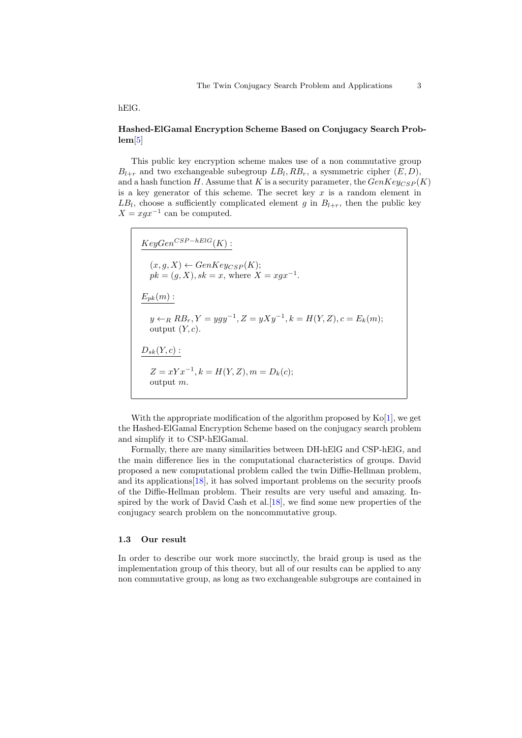hElG.

# Hashed-ElGamal Encryption Scheme Based on Conjugacy Search Problem[\[5\]](#page-11-17)

This public key encryption scheme makes use of a non commutative group  $B_{l+r}$  and two exchangeable subegroup  $LB_l, RB_r$ , a sysmmetric cipher  $(E, D)$ , and a hash function H. Assume that K is a security parameter, the  $GenKeyCSP(K)$ is a key generator of this scheme. The secret key  $x$  is a random element in  $LB_l$ , choose a sufficiently complicated element g in  $B_{l+r}$ , then the public key  $X = xgx^{-1}$  can be computed.

 $KeyGen^{CSP-hElG}(K)$ :  $(x, g, X) \leftarrow GenKey_{CSP}(K);$  $pk = (g, X), sk = x, where X = xgx^{-1}.$  $E_{pk}(m)$ :  $y \leftarrow_R R B_r, Y = ygy^{-1}, Z = yXy^{-1}, k = H(Y, Z), c = E_k(m);$ output  $(Y, c)$ .  $D_{sk}(Y, c)$ :  $Z = xYx^{-1}, k = H(Y, Z), m = D_k(c);$ output m.

With the appropriate modification of the algorithm proposed by  $K_0[1]$  $K_0[1]$ , we get the Hashed-ElGamal Encryption Scheme based on the conjugacy search problem and simplify it to CSP-hElGamal.

Formally, there are many similarities between DH-hElG and CSP-hElG, and the main difference lies in the computational characteristics of groups. David proposed a new computational problem called the twin Diffie-Hellman problem, and its applications[\[18\]](#page-11-15), it has solved important problems on the security proofs of the Diffie-Hellman problem. Their results are very useful and amazing. In-spired by the work of David Cash et al. [\[18\]](#page-11-15), we find some new properties of the conjugacy search problem on the noncommutative group.

#### 1.3 Our result

In order to describe our work more succinctly, the braid group is used as the implementation group of this theory, but all of our results can be applied to any non commutative group, as long as two exchangeable subgroups are contained in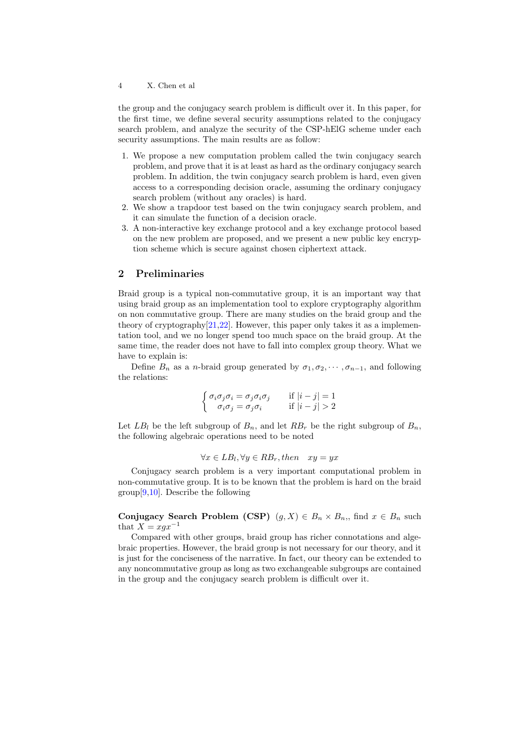the group and the conjugacy search problem is difficult over it. In this paper, for the first time, we define several security assumptions related to the conjugacy search problem, and analyze the security of the CSP-hElG scheme under each security assumptions. The main results are as follow:

- 1. We propose a new computation problem called the twin conjugacy search problem, and prove that it is at least as hard as the ordinary conjugacy search problem. In addition, the twin conjugacy search problem is hard, even given access to a corresponding decision oracle, assuming the ordinary conjugacy search problem (without any oracles) is hard.
- 2. We show a trapdoor test based on the twin conjugacy search problem, and it can simulate the function of a decision oracle.
- 3. A non-interactive key exchange protocol and a key exchange protocol based on the new problem are proposed, and we present a new public key encryption scheme which is secure against chosen ciphertext attack.

## 2 Preliminaries

Braid group is a typical non-commutative group, it is an important way that using braid group as an implementation tool to explore cryptography algorithm on non commutative group. There are many studies on the braid group and the theory of cryptography[\[21,](#page-12-2)[22\]](#page-12-3). However, this paper only takes it as a implementation tool, and we no longer spend too much space on the braid group. At the same time, the reader does not have to fall into complex group theory. What we have to explain is:

Define  $B_n$  as a *n*-braid group generated by  $\sigma_1, \sigma_2, \cdots, \sigma_{n-1}$ , and following the relations:

$$
\begin{cases} \sigma_i \sigma_j \sigma_i = \sigma_j \sigma_i \sigma_j & \text{if } |i - j| = 1 \\ \sigma_i \sigma_j = \sigma_j \sigma_i & \text{if } |i - j| > 2 \end{cases}
$$

Let  $LB_l$  be the left subgroup of  $B_n$ , and let  $RB_r$  be the right subgroup of  $B_n$ , the following algebraic operations need to be noted

$$
\forall x \in LB_l, \forall y \in RB_r, then \quad xy = yx
$$

Conjugacy search problem is a very important computational problem in non-commutative group. It is to be known that the problem is hard on the braid  $group[9,10]$  $group[9,10]$  $group[9,10]$ . Describe the following

Conjugacy Search Problem (CSP)  $(g, X) \in B_n \times B_n$ , find  $x \in B_n$  such that  $X = xgx^{-1}$ 

Compared with other groups, braid group has richer connotations and algebraic properties. However, the braid group is not necessary for our theory, and it is just for the conciseness of the narrative. In fact, our theory can be extended to any noncommutative group as long as two exchangeable subgroups are contained in the group and the conjugacy search problem is difficult over it.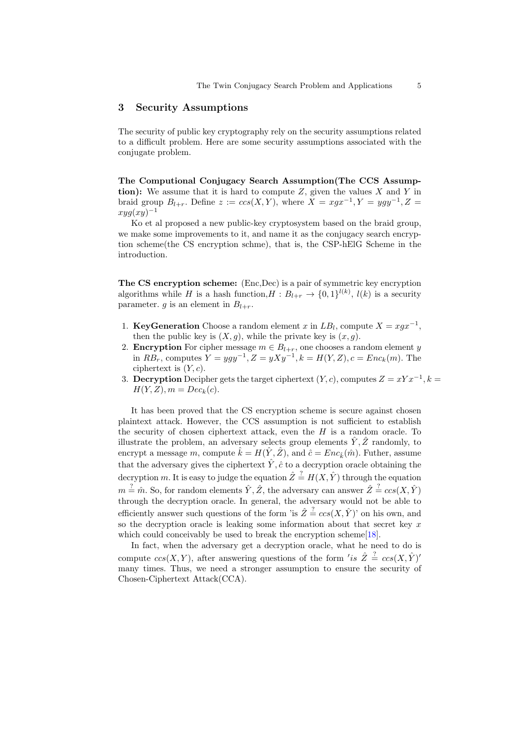### 3 Security Assumptions

The security of public key cryptography rely on the security assumptions related to a difficult problem. Here are some security assumptions associated with the conjugate problem.

The Computional Conjugacy Search Assumption(The CCS Assumption): We assume that it is hard to compute  $Z$ , given the values  $X$  and  $Y$  in braid group  $B_{l+r}$ . Define  $z := ccs(X, Y)$ , where  $X = xgx^{-1}, Y = ygy^{-1}, Z =$  $xyg(xy)^{-1}$ 

Ko et al proposed a new public-key cryptosystem based on the braid group, we make some improvements to it, and name it as the conjugacy search encryption scheme(the CS encryption schme), that is, the CSP-hElG Scheme in the introduction.

The CS encryption scheme: (Enc,Dec) is a pair of symmetric key encryption algorithms while H is a hash function,  $H: B_{l+r} \to \{0,1\}^{l(k)}, l(k)$  is a security parameter. g is an element in  $B_{l+r}$ .

- 1. KeyGeneration Choose a random element x in  $LB_l$ , compute  $X = xgx^{-1}$ , then the public key is  $(X, g)$ , while the private key is  $(x, g)$ .
- 2. **Encryption** For cipher message  $m \in B_{l+r}$ , one chooses a random element y in  $RB_r$ , computes  $Y = ygy^{-1}, Z = yXy^{-1}, k = H(Y, Z), c = Enc_k(m)$ . The ciphertext is  $(Y, c)$ .
- 3. Decryption Decipher gets the target ciphertext  $(Y, c)$ , computes  $Z = xYx^{-1}$ ,  $k =$  $H(Y, Z), m = Dec_k(c).$

It has been proved that the CS encryption scheme is secure against chosen plaintext attack. However, the CCS assumption is not sufficient to establish the security of chosen ciphertext attack, even the  $H$  is a random oracle. To illustrate the problem, an adversary selects group elements  $\hat{Y}, \hat{Z}$  randomly, to encrypt a message m, compute  $\hat{k} = H(\hat{Y}, \hat{Z})$ , and  $\hat{c} = Enc_{\hat{k}}(\hat{m})$ . Futher, assume that the adversary gives the ciphertext  $\hat{Y}, \hat{c}$  to a decryption oracle obtaining the decryption m. It is easy to judge the equation  $\hat{Z} \stackrel{?}{=} H(X, \hat{Y})$  through the equation  $m \stackrel{?}{=} \hat{m}$ . So, for random elements  $\hat{Y}, \hat{Z}$ , the adversary can answer  $\hat{Z} \stackrel{?}{=} \cos(X, \hat{Y})$ through the decryption oracle. In general, the adversary would not be able to efficiently answer such questions of the form 'is  $\hat{Z} \stackrel{?}{=} \cos(X, \hat{Y})$ ' on his own, and so the decryption oracle is leaking some information about that secret key  $x$ which could conceivably be used to break the encryption scheme[\[18\]](#page-11-15).

In fact, when the adversary get a decryption oracle, what he need to do is compute  $ccs(X,Y)$ , after answering questions of the form 'is  $\hat{Z} \stackrel{?}{=} ccs(X,\hat{Y})'$ many times. Thus, we need a stronger assumption to ensure the security of Chosen-Ciphertext Attack(CCA).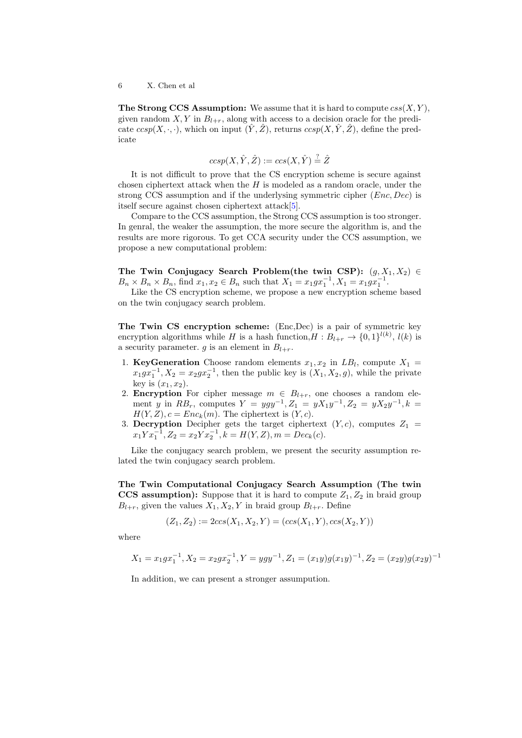The Strong CCS Assumption: We assume that it is hard to compute  $\operatorname{css}(X, Y)$ , given random  $X, Y$  in  $B_{l+r}$ , along with access to a decision oracle for the predicate  $ccsp(X, \cdot, \cdot)$ , which on input  $(\hat{Y}, \hat{Z})$ , returns  $ccsp(X, \hat{Y}, \hat{Z})$ , define the predicate

$$
ccsp(X, \hat{Y}, \hat{Z}) := ccs(X, \hat{Y}) \stackrel{?}{=} \hat{Z}
$$

It is not difficult to prove that the CS encryption scheme is secure against chosen ciphertext attack when the  $H$  is modeled as a random oracle, under the strong CCS assumption and if the underlysing symmetric cipher  $(Enc, Dec)$  is itself secure against chosen ciphertext attack[\[5\]](#page-11-17).

Compare to the CCS assumption, the Strong CCS assumption is too stronger. In genral, the weaker the assumption, the more secure the algorithm is, and the results are more rigorous. To get CCA security under the CCS assumption, we propose a new computational problem:

The Twin Conjugacy Search Problem(the twin CSP):  $(g, X_1, X_2) \in$  $B_n \times B_n \times B_n$ , find  $x_1, x_2 \in B_n$  such that  $X_1 = x_1 g x_1^{-1}$ ,  $X_1 = x_1 g x_1^{-1}$ .

Like the CS encryption scheme, we propose a new encryption scheme based on the twin conjugacy search problem.

The Twin CS encryption scheme: (Enc,Dec) is a pair of symmetric key encryption algorithms while H is a hash function, $H: B_{l+r} \to \{0,1\}^{l(k)}, l(k)$  is a security parameter. g is an element in  $B_{l+r}$ .

- 1. KeyGeneration Choose random elements  $x_1, x_2$  in  $LB_l$ , compute  $X_1 =$  $x_1gx_1^{-1}$ ,  $X_2 = x_2gx_2^{-1}$ , then the public key is  $(X_1, X_2, g)$ , while the private key is  $(x_1, x_2)$ .
- 2. **Encryption** For cipher message  $m \in B_{l+r}$ , one chooses a random element y in  $RB_r$ , computes  $Y = ygy^{-1}, Z_1 = yX_1y^{-1}, Z_2 = yX_2y^{-1}, k =$  $H(Y, Z), c = Enc_k(m)$ . The ciphertext is  $(Y, c)$ .
- 3. Decryption Decipher gets the target ciphertext  $(Y, c)$ , computes  $Z_1$  =  $x_1 Y x_1^{-1}, Z_2 = x_2 Y x_2^{-1}, k = H(Y, Z), m = Dec_k(c).$

Like the conjugacy search problem, we present the security assumption related the twin conjugacy search problem.

The Twin Computational Conjugacy Search Assumption (The twin CCS assumption): Suppose that it is hard to compute  $Z_1, Z_2$  in braid group  $B_{l+r}$ , given the values  $X_1, X_2, Y$  in braid group  $B_{l+r}$ . Define

$$
(Z_1, Z_2) := 2ccs(X_1, X_2, Y) = (ccs(X_1, Y), ccs(X_2, Y))
$$

where

$$
X_1 = x_1 g x_1^{-1}, X_2 = x_2 g x_2^{-1}, Y = y g y^{-1}, Z_1 = (x_1 y) g (x_1 y)^{-1}, Z_2 = (x_2 y) g (x_2 y)^{-1}
$$

In addition, we can present a stronger assumpution.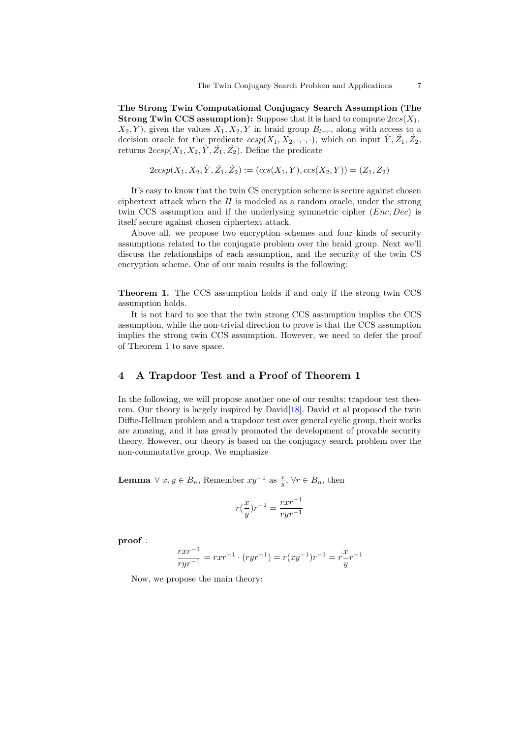The Strong Twin Computational Conjugacy Search Assumption (The **Strong Twin CCS assumption):** Suppose that it is hard to compute  $2ccs(X_1, ...)$  $X_2, Y$ , given the values  $X_1, X_2, Y$  in braid group  $B_{l+r}$ , along with access to a decision oracle for the predicate  $ccsp(X_1, X_2, \cdot, \cdot, \cdot)$ , which on input  $\hat{Y}, \hat{Z_1}, \hat{Z_2}$ , returns  $2ccsp(X_1, X_2, \hat{Y}, \hat{Z_1}, \hat{Z_2})$ . Define the predicate

$$
2ccsp(X_1, X_2, \hat{Y}, \hat{Z_1}, \hat{Z_2}) := (ccs(X_1, Y), ccs(X_2, Y)) = (Z_1, Z_2)
$$

It's easy to know that the twin CS encryption scheme is secure against chosen ciphertext attack when the  $H$  is modeled as a random oracle, under the strong twin CCS assumption and if the underlysing symmetric cipher (*Enc*, *Dec*) is itself secure against chosen ciphertext attack.

Above all, we propose two encryption schemes and four kinds of security assumptions related to the conjugate problem over the braid group. Next we'll discuss the relationships of each assumption, and the security of the twin CS encryption scheme. One of our main results is the following:

Theorem 1. The CCS assumption holds if and only if the strong twin CCS assumption holds.

It is not hard to see that the twin strong CCS assumption implies the CCS assumption, while the non-trivial direction to prove is that the CCS assumption implies the strong twin CCS assumption. However, we need to defer the proof of Theorem 1 to save space.

# 4 A Trapdoor Test and a Proof of Theorem 1

In the following, we will propose another one of our results: trapdoor test theorem. Our theory is largely inspired by David[\[18\]](#page-11-15). David et al proposed the twin Diffie-Hellman problem and a trapdoor test over general cyclic group, their works are amazing, and it has greatly promoted the development of provable security theory. However, our theory is based on the conjugacy search problem over the non-commutative group. We emphasize

**Lemma**  $\forall x, y \in B_n$ , Remember  $xy^{-1}$  as  $\frac{x}{y}$ ,  $\forall r \in B_n$ , then

$$
r(\frac{x}{y})r^{-1} = \frac{rxr^{-1}}{ryr^{-1}}
$$

proof :

$$
\frac{rxr^{-1}}{ryr^{-1}} = rxr^{-1} \cdot (ryr^{-1}) = r(xy^{-1})r^{-1} = r\frac{x}{y}r^{-1}
$$

Now, we propose the main theory: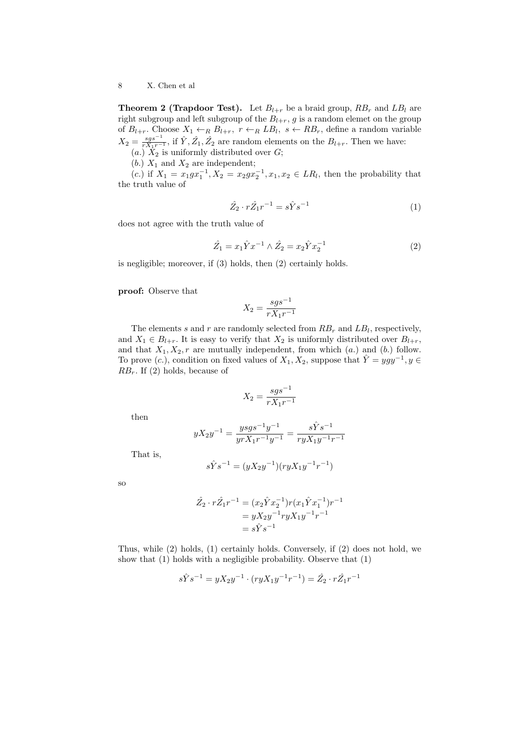**Theorem 2 (Trapdoor Test).** Let  $B_{l+r}$  be a braid group,  $RB_r$  and  $LB_l$  are right subgroup and left subgroup of the  $B_{l+r}$ , g is a random elemet on the group of  $B_{l+r}$ . Choose  $X_1 \leftarrow_R B_{l+r}, r \leftarrow_R LB_l, s \leftarrow RB_r$ , define a random variable  $X_2 = \frac{sgs^{-1}}{rX_1r^{-1}}$ , if  $\hat{Y}, \hat{Z_1}, \hat{Z_2}$  are random elements on the  $B_{l+r}$ . Then we have: (a.)  $X_2$  is uniformly distributed over  $G$ ;

(b.)  $X_1$  and  $X_2$  are independent;

(c.) if  $X_1 = x_1 g x_1^{-1}, X_2 = x_2 g x_2^{-1}, x_1, x_2 \in LR_l$ , then the probability that the truth value of

$$
\hat{Z}_2 \cdot r \hat{Z}_1 r^{-1} = s \hat{Y} s^{-1} \tag{1}
$$

does not agree with the truth value of

$$
\hat{Z}_1 = x_1 \hat{Y} x^{-1} \wedge \hat{Z}_2 = x_2 \hat{Y} x_2^{-1} \tag{2}
$$

is negligible; moreover, if (3) holds, then (2) certainly holds.

proof: Observe that

$$
X_2 = \frac{sgs^{-1}}{rX_1r^{-1}}
$$

The elements s and r are randomly selected from  $RB_r$  and  $LB_l$ , respectively, and  $X_1 \in B_{l+r}$ . It is easy to verify that  $X_2$  is uniformly distributed over  $B_{l+r}$ , and that  $X_1, X_2, r$  are mutually independent, from which  $(a.)$  and  $(b.)$  follow. To prove  $(c.)$ , condition on fixed values of  $X_1, X_2$ , suppose that  $\hat{Y} = ygy^{-1}, y \in$  $RB_r$ . If (2) holds, because of

$$
X_2 = \frac{sgs^{-1}}{rX_1r^{-1}}
$$

then

$$
yX_2y^{-1} = \frac{ysgs^{-1}y^{-1}}{yrX_1r^{-1}y^{-1}} = \frac{s\hat{Y}s^{-1}}{ryX_1y^{-1}r^{-1}}
$$

That is,

$$
s \hat{Y} s^{-1} = (y X_2 y^{-1}) (r y X_1 y^{-1} r^{-1})
$$

so

$$
\hat{Z}_2 \cdot r\hat{Z}_1 r^{-1} = (x_2 \hat{Y} x_2^{-1}) r (x_1 \hat{Y} x_1^{-1}) r^{-1}
$$
  
=  $y X_2 y^{-1} r y X_1 y^{-1} r^{-1}$   
=  $s \hat{Y} s^{-1}$ 

Thus, while (2) holds, (1) certainly holds. Conversely, if (2) does not hold, we show that (1) holds with a negligible probability. Observe that (1)

$$
s\hat{Y}s^{-1} = yX_2y^{-1} \cdot (ryX_1y^{-1}r^{-1}) = \hat{Z}_2 \cdot r\hat{Z}_1r^{-1}
$$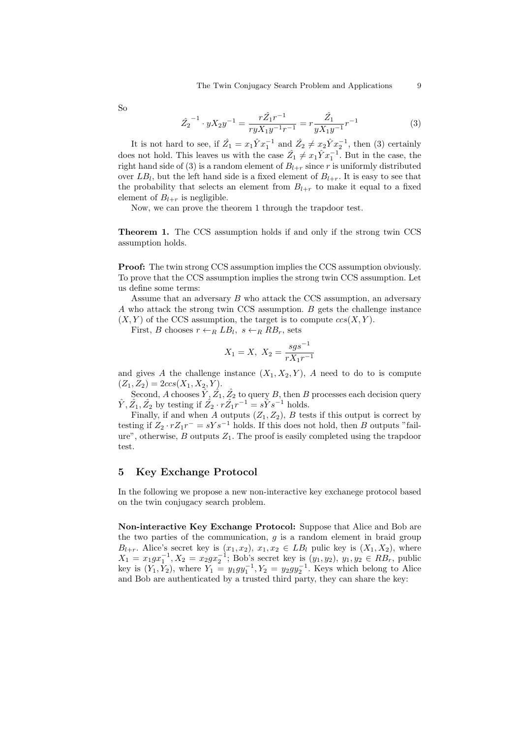So

$$
\hat{Z}_2^{-1} \cdot yX_2y^{-1} = \frac{r\hat{Z}_1r^{-1}}{ryX_1y^{-1}r^{-1}} = r\frac{\hat{Z}_1}{yX_1y^{-1}}r^{-1}
$$
(3)

It is not hard to see, if  $\hat{Z}_1 = x_1 \hat{Y} x_1^{-1}$  and  $\hat{Z}_2 \neq x_2 \hat{Y} x_2^{-1}$ , then (3) certainly does not hold. This leaves us with the case  $\hat{Z}_1 \neq x_1 \hat{Y} x_1^{-1}$ . But in the case, the right hand side of (3) is a random element of  $B_{l+r}$  since r is uniformly distributed over  $LB_l$ , but the left hand side is a fixed element of  $B_{l+r}$ . It is easy to see that the probability that selects an element from  $B_{l+r}$  to make it equal to a fixed element of  $B_{l+r}$  is negligible.

Now, we can prove the theorem 1 through the trapdoor test.

Theorem 1. The CCS assumption holds if and only if the strong twin CCS assumption holds.

Proof: The twin strong CCS assumption implies the CCS assumption obviously. To prove that the CCS assumption implies the strong twin CCS assumption. Let us define some terms:

Assume that an adversary  $B$  who attack the CCS assumption, an adversary A who attack the strong twin CCS assumption. B gets the challenge instance  $(X, Y)$  of the CCS assumption, the target is to compute  $ccs(X, Y)$ .

First, B chooses  $r \leftarrow_R LB_l$ ,  $s \leftarrow_R RB_r$ , sets

$$
X_1 = X, \ X_2 = \frac{sgs^{-1}}{rX_1r^{-1}}
$$

and gives A the challenge instance  $(X_1, X_2, Y)$ , A need to do to is compute  $(Z_1, Z_2) = 2ccs(X_1, X_2, Y).$ 

Second, A chooses  $\hat{Y}, \hat{Z}_1, \hat{Z}_2$  to query B, then B processes each decision query  $\hat{Y}, \hat{Z_1}, \hat{Z_2}$  by testing if  $\hat{Z_2} \cdot r\hat{Z_1}r^{-1} = s\hat{Y}s^{-1}$  holds.

Finally, if and when A outputs  $(Z_1, Z_2)$ , B tests if this output is correct by testing if  $Z_2 \cdot rZ_1r^- = sYs^{-1}$  holds. If this does not hold, then B outputs "failure", otherwise,  $B$  outputs  $Z_1$ . The proof is easily completed using the trapdoor test.

# 5 Key Exchange Protocol

In the following we propose a new non-interactive key exchanege protocol based on the twin conjugacy search problem.

Non-interactive Key Exchange Protocol: Suppose that Alice and Bob are the two parties of the communication,  $g$  is a random element in braid group  $B_{l+r}$ . Alice's secret key is  $(x_1, x_2), x_1, x_2 \in LB_l$  pulic key is  $(X_1, X_2)$ , where  $X_1 = x_1 g x_1^{-1}, X_2 = x_2 g x_2^{-1}$ ; Bob's secret key is  $(y_1, y_2), y_1, y_2 \in RB_r$ , public key is  $(Y_1, Y_2)$ , where  $Y_1 = y_1 gy_1^{-1}$ ,  $Y_2 = y_2 gy_2^{-1}$ . Keys which belong to Alice and Bob are authenticated by a trusted third party, they can share the key: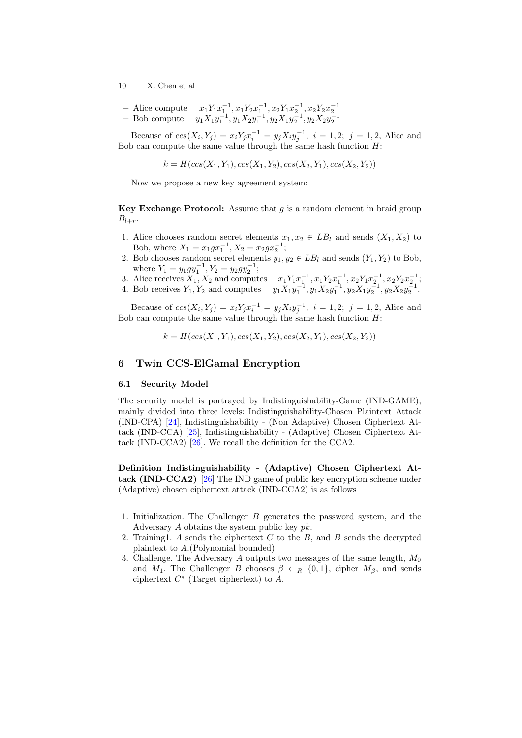- Alice compute 
$$
x_1Y_1x_1^{-1}, x_1Y_2x_1^{-1}, x_2Y_1x_2^{-1}, x_2Y_2x_2^{-1}
$$
  
- Bob compute  $y_1X_1y_1^{-1}, y_1X_2y_1^{-1}, y_2X_1y_2^{-1}, y_2X_2y_2^{-1}$ 

Because of  $ccs(X_i, Y_j) = x_i Y_j x_i^{-1} = y_j X_i y_j^{-1}, i = 1, 2; j = 1, 2$ , Alice and Bob can compute the same value through the same hash function  $H$ :

$$
k = H(ccs(X_1, Y_1), ccs(X_1, Y_2), ccs(X_2, Y_1), ccs(X_2, Y_2))
$$

Now we propose a new key agreement system:

**Key Exchange Protocol:** Assume that  $q$  is a random element in braid group  $B_{l+r}$ .

- 1. Alice chooses random secret elements  $x_1, x_2 \in LB_l$  and sends  $(X_1, X_2)$  to Bob, where  $X_1 = x_1 g x_1^{-1}$ ,  $X_2 = x_2 g x_2^{-1}$ ;
- 2. Bob chooses random secret elements  $y_1, y_2 \in LB_l$  and sends  $(Y_1, Y_2)$  to Bob, where  $Y_1 = y_1 gy_1^{-1}$ ,  $Y_2 = y_2 gy_2^{-1}$ ;
- 3. Alice receives  $X_1, X_2$  and computes  $x_1 Y_1 x_1^{-1}, x_1 Y_2 x_1^{-1}, x_2 Y_1 x_2^{-1}, x_2 Y_2 x_2^{-1}$ ;
- 4. Bob receives  $Y_1, Y_2$  and computes  $y_1 X_1 y_1^{-1}, y_1 X_2 y_1^{-1}, y_2 X_1 y_2^{-1}, y_2 X_2 y_2^{-1}$ .

Because of  $ccs(X_i, Y_j) = x_i Y_j x_i^{-1} = y_j X_i y_j^{-1}, i = 1, 2; j = 1, 2$ , Alice and Bob can compute the same value through the same hash function  $H$ :

$$
k = H(ccs(X_1, Y_1), ccs(X_1, Y_2), ccs(X_2, Y_1), ccs(X_2, Y_2))
$$

## 6 Twin CCS-ElGamal Encryption

#### 6.1 Security Model

The security model is portrayed by Indistinguishability-Game (IND-GAME), mainly divided into three levels: Indistinguishability-Chosen Plaintext Attack (IND-CPA) [\[24\]](#page-12-4), Indistinguishability - (Non Adaptive) Chosen Ciphertext Attack (IND-CCA) [\[25\]](#page-12-5), Indistinguishability - (Adaptive) Chosen Ciphertext Attack (IND-CCA2) [\[26\]](#page-12-6). We recall the definition for the CCA2.

Definition Indistinguishability - (Adaptive) Chosen Ciphertext Attack (IND-CCA2) [\[26\]](#page-12-6) The IND game of public key encryption scheme under (Adaptive) chosen ciphertext attack (IND-CCA2) is as follows

- 1. Initialization. The Challenger B generates the password system, and the Adversary  $A$  obtains the system public key  $pk$ .
- 2. Training1. A sends the ciphertext  $C$  to the  $B$ , and  $B$  sends the decrypted plaintext to A.(Polynomial bounded)
- 3. Challenge. The Adversary  $A$  outputs two messages of the same length,  $M_0$ and  $M_1$ . The Challenger B chooses  $\beta \leftarrow_R \{0,1\}$ , cipher  $M_\beta$ , and sends ciphertext  $C^*$  (Target ciphertext) to  $A$ .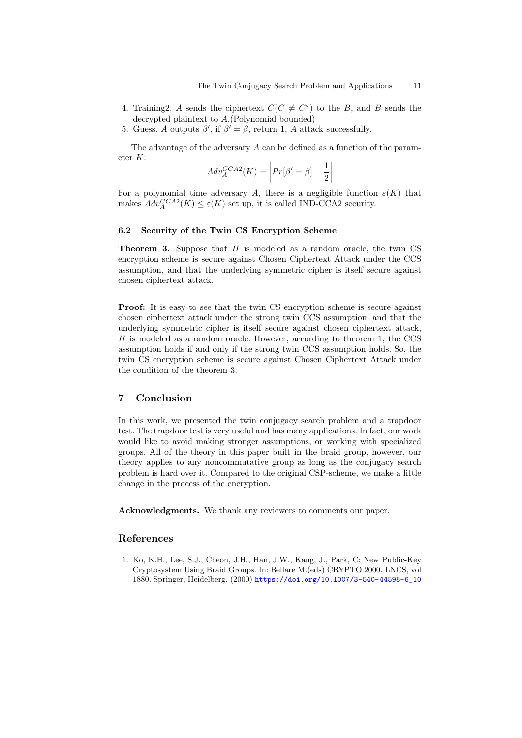- 4. Training 2. A sends the ciphertext  $C(C \neq C^*)$  to the B, and B sends the decrypted plaintext to A.(Polynomial bounded)
- 5. Guess. A outputs  $\beta'$ , if  $\beta' = \beta$ , return 1, A attack successfully.

The advantage of the adversary A can be defined as a function of the parameter K:

$$
Adv_A^{CCA2}(K) = \left| Pr[\beta' = \beta] - \frac{1}{2} \right|
$$

For a polynomial time adversary A, there is a negligible function  $\varepsilon(K)$  that makes  $Adv_{A}^{CCA2}(K) \leq \varepsilon(K)$  set up, it is called IND-CCA2 security.

### 6.2 Security of the Twin CS Encryption Scheme

**Theorem 3.** Suppose that  $H$  is modeled as a random oracle, the twin CS encryption scheme is secure against Chosen Ciphertext Attack under the CCS assumption, and that the underlying symmetric cipher is itself secure against chosen ciphertext attack.

**Proof:** It is easy to see that the twin CS encryption scheme is secure against chosen ciphertext attack under the strong twin CCS assumption, and that the underlying symmetric cipher is itself secure against chosen ciphertext attack,  $H$  is modeled as a random oracle. However, according to theorem 1, the CCS assumption holds if and only if the strong twin CCS assumption holds. So, the twin CS encryption scheme is secure against Chosen Ciphertext Attack under the condition of the theorem 3.

# 7 Conclusion

In this work, we presented the twin conjugacy search problem and a trapdoor test. The trapdoor test is very useful and has many applications. In fact, our work would like to avoid making stronger assumptions, or working with specialized groups. All of the theory in this paper built in the braid group, however, our theory applies to any noncommutative group as long as the conjugacy search problem is hard over it. Compared to the original CSP-scheme, we make a little change in the process of the encryption.

Acknowledgments. We thank any reviewers to comments our paper.

## References

<span id="page-10-0"></span>1. Ko, K.H., Lee, S.J., Cheon, J.H., Han, J.W., Kang, J., Park, C: New Public-Key Cryptosystem Using Braid Groups. In: Bellare M.(eds) CRYPTO 2000. LNCS, vol 1880. Springer, Heidelberg. (2000) [https://doi.org/10.1007/3-540-44598-6\\_10](https://doi.org/10.1007/3-540-44598-6_10)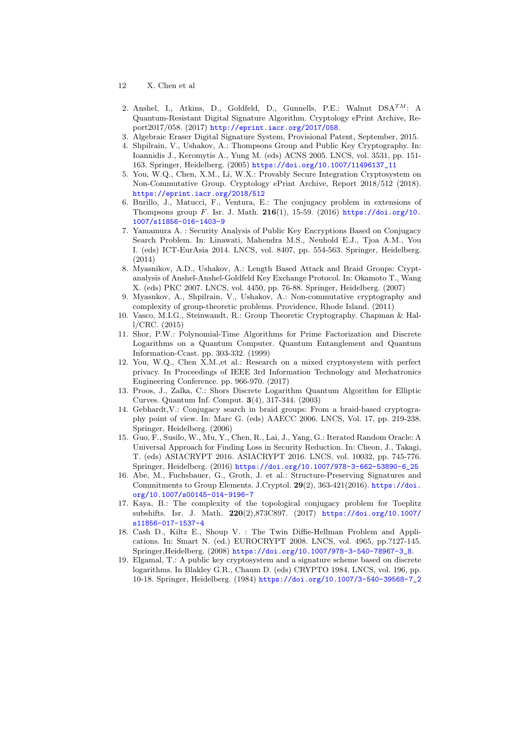- 12 X. Chen et al
- <span id="page-11-0"></span>2. Anshel, I., Atkins, D., Goldfeld, D., Gunnells, P.E.: Walnut  $DSA^{TM}$ : A Quantum-Resistant Digital Signature Algorithm. Cryptology ePrint Archive, Report2017/058. (2017) <http://eprint.iacr.org/2017/058>.
- <span id="page-11-1"></span>3. Algebraic Eraser Digital Signature System, Provisional Patent, September, 2015.
- <span id="page-11-2"></span>4. Shpilrain, V., Ushakov, A.: Thompsons Group and Public Key Cryptography. In: Ioannidis J., Keromytis A., Yung M. (eds) ACNS 2005. LNCS, vol. 3531, pp. 151- 163. Springer, Heidelberg. (2005) [https://doi.org/10.1007/11496137\\_11](https://doi.org/10.1007/11496137_11)
- <span id="page-11-17"></span>5. You, W.Q., Chen, X.M., Li, W.X.: Provably Secure Integration Cryptosystem on Non-Commutative Group. Cryptology ePrint Archive, Report 2018/512 (2018). <https://eprint.iacr.org/2018/512>
- <span id="page-11-3"></span>6. Burillo, J., Matucci, F., Ventura, E.: The conjugacy problem in extensions of Thompsons group  $F$ . Isr. J. Math. 216(1), 15-59. (2016) [https://doi.org/10.](https://doi.org/10.1007/s11856-016-1403-9) [1007/s11856-016-1403-9](https://doi.org/10.1007/s11856-016-1403-9)
- <span id="page-11-4"></span>7. Yamamura A. : Security Analysis of Public Key Encryptions Based on Conjugacy Search Problem. In: Linawati, Mahendra M.S., Neuhold E.J., Tjoa A.M., You I. (eds) ICT-EurAsia 2014. LNCS, vol. 8407, pp. 554-563. Springer, Heidelberg. (2014)
- <span id="page-11-5"></span>8. Myasnikov, A.D., Ushakov, A.: Length Based Attack and Braid Groups: Cryptanalysis of Anshel-Anshel-Goldfeld Key Exchange Protocol. In: Okamoto T., Wang X. (eds) PKC 2007. LNCS, vol. 4450, pp. 76-88. Springer, Heidelberg. (2007)
- <span id="page-11-7"></span>9. Myasnkov, A., Shpilrain, V., Ushakov, A.: Non-commutative cryptography and complexity of group-theoretic problems. Providence, Rhode Island. (2011)
- <span id="page-11-8"></span>10. Vasco, M.I.G., Steinwandt, R.: Group Theoretic Cryptography. Chapman & Hall/CRC. (2015)
- <span id="page-11-10"></span>11. Shor, P.W.: Polynomial-Time Algorithms for Prime Factorization and Discrete Logarithms on a Quantum Computer. Quantum Entanglement and Quantum Information-Ccast. pp. 303-332. (1999)
- <span id="page-11-9"></span>12. You, W.Q., Chen X.M.,et al.: Research on a mixed cryptosystem with perfect privacy. In Proceedings of IEEE 3rd Information Technology and Mechatronics Engineering Conference. pp. 966-970. (2017)
- <span id="page-11-11"></span>13. Proos, J., Zalka, C.: Shors Discrete Logarithm Quantum Algorithm for Elliptic Curves. Quantum Inf. Comput. 3(4), 317-344. (2003)
- <span id="page-11-6"></span>14. Gebhardt,V.: Conjugacy search in braid groups: From a braid-based cryptography point of view. In: Marc G. (eds) AAECC 2006. LNCS, Vol. 17, pp. 219-238. Springer, Heidelberg. (2006)
- <span id="page-11-12"></span>15. Guo, F., Susilo, W., Mu, Y., Chen, R., Lai, J., Yang, G.: Iterated Random Oracle: A Universal Approach for Finding Loss in Security Reduction. In: Cheon, J., Takagi, T. (eds) ASIACRYPT 2016. ASIACRYPT 2016. LNCS, vol. 10032, pp. 745-776. Springer, Heidelberg. (2016) [https://doi.org/10.1007/978-3-662-53890-6\\_25](https://doi.org/10.1007/978-3-662-53890-6_25)
- <span id="page-11-13"></span>16. Abe, M., Fuchsbauer, G., Groth, J. et al.: Structure-Preserving Signatures and Commitments to Group Elements. J.Cryptol. 29(2), 363-421(2016). [https://doi.](https://doi.org/10.1007/s00145-014-9196-7) [org/10.1007/s00145-014-9196-7](https://doi.org/10.1007/s00145-014-9196-7)
- <span id="page-11-14"></span>17. Kaya, B.: The complexity of the topological conjugacy problem for Toeplitz subshifts. Isr. J. Math. 220(2),873C897. (2017) [https://doi.org/10.1007/](https://doi.org/10.1007/s11856-017-1537-4) [s11856-017-1537-4](https://doi.org/10.1007/s11856-017-1537-4)
- <span id="page-11-15"></span>18. Cash D., Kiltz E., Shoup V. : The Twin Diffie-Hellman Problem and Applications. In: Smart N. (ed.) EUROCRYPT 2008. LNCS, vol. 4965, pp.?127-145. Springer,Heidelberg. (2008) [https://doi.org/10.1007/978-3-540-78967-3\\_8](https://doi.org/10.1007/978-3-540-78967-3_8).
- <span id="page-11-16"></span>19. Elgamal, T.: A public key cryptosystem and a signature scheme based on discrete logarithms. In Blakley G.R., Chaum D. (eds) CRYPTO 1984. LNCS, vol. 196, pp. 10-18. Springer, Heidelberg. (1984) [https://doi.org/10.1007/3-540-39568-7\\_2](https://doi.org/10.1007/3-540-39568-7_2)